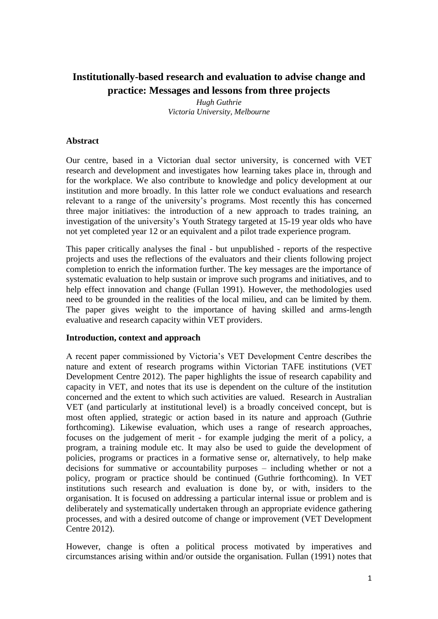# **Institutionally-based research and evaluation to advise change and practice: Messages and lessons from three projects**

*Hugh Guthrie Victoria University, Melbourne*

## **Abstract**

Our centre, based in a Victorian dual sector university, is concerned with VET research and development and investigates how learning takes place in, through and for the workplace. We also contribute to knowledge and policy development at our institution and more broadly. In this latter role we conduct evaluations and research relevant to a range of the university's programs. Most recently this has concerned three major initiatives: the introduction of a new approach to trades training, an investigation of the university's Youth Strategy targeted at 15-19 year olds who have not yet completed year 12 or an equivalent and a pilot trade experience program.

This paper critically analyses the final - but unpublished - reports of the respective projects and uses the reflections of the evaluators and their clients following project completion to enrich the information further. The key messages are the importance of systematic evaluation to help sustain or improve such programs and initiatives, and to help effect innovation and change (Fullan 1991). However, the methodologies used need to be grounded in the realities of the local milieu, and can be limited by them. The paper gives weight to the importance of having skilled and arms-length evaluative and research capacity within VET providers.

## **Introduction, context and approach**

A recent paper commissioned by Victoria's VET Development Centre describes the nature and extent of research programs within Victorian TAFE institutions (VET Development Centre 2012). The paper highlights the issue of research capability and capacity in VET, and notes that its use is dependent on the culture of the institution concerned and the extent to which such activities are valued. Research in Australian VET (and particularly at institutional level) is a broadly conceived concept, but is most often applied, strategic or action based in its nature and approach (Guthrie forthcoming). Likewise evaluation, which uses a range of research approaches, focuses on the judgement of merit - for example judging the merit of a policy, a program, a training module etc. It may also be used to guide the development of policies, programs or practices in a formative sense or, alternatively, to help make decisions for summative or accountability purposes – including whether or not a policy, program or practice should be continued (Guthrie forthcoming). In VET institutions such research and evaluation is done by, or with, insiders to the organisation. It is focused on addressing a particular internal issue or problem and is deliberately and systematically undertaken through an appropriate evidence gathering processes, and with a desired outcome of change or improvement (VET Development Centre 2012).

However, change is often a political process motivated by imperatives and circumstances arising within and/or outside the organisation. Fullan (1991) notes that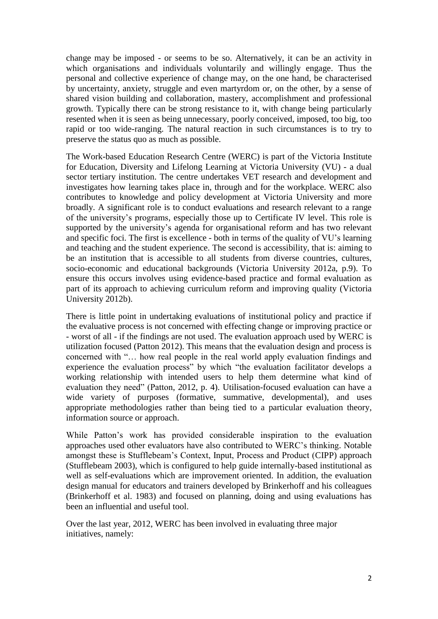change may be imposed - or seems to be so. Alternatively, it can be an activity in which organisations and individuals voluntarily and willingly engage. Thus the personal and collective experience of change may, on the one hand, be characterised by uncertainty, anxiety, struggle and even martyrdom or, on the other, by a sense of shared vision building and collaboration, mastery, accomplishment and professional growth. Typically there can be strong resistance to it, with change being particularly resented when it is seen as being unnecessary, poorly conceived, imposed, too big, too rapid or too wide-ranging. The natural reaction in such circumstances is to try to preserve the status quo as much as possible.

The Work-based Education Research Centre (WERC) is part of the Victoria Institute for Education, Diversity and Lifelong Learning at Victoria University (VU) - a dual sector tertiary institution. The centre undertakes VET research and development and investigates how learning takes place in, through and for the workplace. WERC also contributes to knowledge and policy development at Victoria University and more broadly. A significant role is to conduct evaluations and research relevant to a range of the university's programs, especially those up to Certificate IV level. This role is supported by the university's agenda for organisational reform and has two relevant and specific foci. The first is excellence - both in terms of the quality of VU's learning and teaching and the student experience. The second is accessibility, that is: aiming to be an institution that is accessible to all students from diverse countries, cultures, socio-economic and educational backgrounds (Victoria University 2012a, p.9). To ensure this occurs involves using evidence-based practice and formal evaluation as part of its approach to achieving curriculum reform and improving quality (Victoria University 2012b).

There is little point in undertaking evaluations of institutional policy and practice if the evaluative process is not concerned with effecting change or improving practice or - worst of all - if the findings are not used. The evaluation approach used by WERC is utilization focused (Patton 2012). This means that the evaluation design and process is concerned with "… how real people in the real world apply evaluation findings and experience the evaluation process" by which "the evaluation facilitator develops a working relationship with intended users to help them determine what kind of evaluation they need" (Patton, 2012, p. 4). Utilisation-focused evaluation can have a wide variety of purposes (formative, summative, developmental), and uses appropriate methodologies rather than being tied to a particular evaluation theory, information source or approach.

While Patton's work has provided considerable inspiration to the evaluation approaches used other evaluators have also contributed to WERC's thinking. Notable amongst these is Stufflebeam's Context, Input, Process and Product (CIPP) approach (Stufflebeam 2003), which is configured to help guide internally-based institutional as well as self-evaluations which are improvement oriented. In addition, the evaluation design manual for educators and trainers developed by Brinkerhoff and his colleagues (Brinkerhoff et al. 1983) and focused on planning, doing and using evaluations has been an influential and useful tool.

Over the last year, 2012, WERC has been involved in evaluating three major initiatives, namely: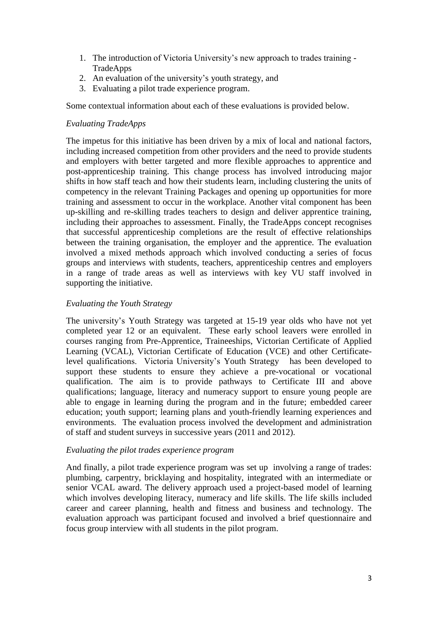- 1. The introduction of Victoria University's new approach to trades training TradeApps
- 2. An evaluation of the university's youth strategy, and
- 3. Evaluating a pilot trade experience program.

Some contextual information about each of these evaluations is provided below.

# *Evaluating TradeApps*

The impetus for this initiative has been driven by a mix of local and national factors, including increased competition from other providers and the need to provide students and employers with better targeted and more flexible approaches to apprentice and post-apprenticeship training. This change process has involved introducing major shifts in how staff teach and how their students learn, including clustering the units of competency in the relevant Training Packages and opening up opportunities for more training and assessment to occur in the workplace. Another vital component has been up-skilling and re-skilling trades teachers to design and deliver apprentice training, including their approaches to assessment. Finally, the TradeApps concept recognises that successful apprenticeship completions are the result of effective relationships between the training organisation, the employer and the apprentice. The evaluation involved a mixed methods approach which involved conducting a series of focus groups and interviews with students, teachers, apprenticeship centres and employers in a range of trade areas as well as interviews with key VU staff involved in supporting the initiative.

# *Evaluating the Youth Strategy*

The university's Youth Strategy was targeted at 15-19 year olds who have not yet completed year 12 or an equivalent. These early school leavers were enrolled in courses ranging from Pre-Apprentice, Traineeships, Victorian Certificate of Applied Learning (VCAL), Victorian Certificate of Education (VCE) and other Certificatelevel qualifications. Victoria University's Youth Strategy has been developed to support these students to ensure they achieve a pre-vocational or vocational qualification. The aim is to provide pathways to Certificate III and above qualifications; language, literacy and numeracy support to ensure young people are able to engage in learning during the program and in the future; embedded career education; youth support; learning plans and youth-friendly learning experiences and environments. The evaluation process involved the development and administration of staff and student surveys in successive years (2011 and 2012).

## *Evaluating the pilot trades experience program*

And finally, a pilot trade experience program was set up involving a range of trades: plumbing, carpentry, bricklaying and hospitality, integrated with an intermediate or senior VCAL award. The delivery approach used a project-based model of learning which involves developing literacy, numeracy and life skills. The life skills included career and career planning, health and fitness and business and technology. The evaluation approach was participant focused and involved a brief questionnaire and focus group interview with all students in the pilot program.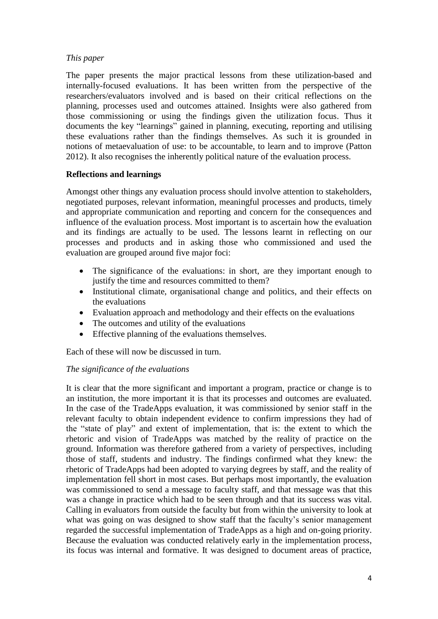# *This paper*

The paper presents the major practical lessons from these utilization-based and internally-focused evaluations. It has been written from the perspective of the researchers/evaluators involved and is based on their critical reflections on the planning, processes used and outcomes attained. Insights were also gathered from those commissioning or using the findings given the utilization focus. Thus it documents the key "learnings" gained in planning, executing, reporting and utilising these evaluations rather than the findings themselves. As such it is grounded in notions of metaevaluation of use: to be accountable, to learn and to improve (Patton 2012). It also recognises the inherently political nature of the evaluation process.

# **Reflections and learnings**

Amongst other things any evaluation process should involve attention to stakeholders, negotiated purposes, relevant information, meaningful processes and products, timely and appropriate communication and reporting and concern for the consequences and influence of the evaluation process. Most important is to ascertain how the evaluation and its findings are actually to be used. The lessons learnt in reflecting on our processes and products and in asking those who commissioned and used the evaluation are grouped around five major foci:

- The significance of the evaluations: in short, are they important enough to justify the time and resources committed to them?
- Institutional climate, organisational change and politics, and their effects on the evaluations
- Evaluation approach and methodology and their effects on the evaluations
- The outcomes and utility of the evaluations
- Effective planning of the evaluations themselves.

Each of these will now be discussed in turn.

# *The significance of the evaluations*

It is clear that the more significant and important a program, practice or change is to an institution, the more important it is that its processes and outcomes are evaluated. In the case of the TradeApps evaluation, it was commissioned by senior staff in the relevant faculty to obtain independent evidence to confirm impressions they had of the "state of play" and extent of implementation, that is: the extent to which the rhetoric and vision of TradeApps was matched by the reality of practice on the ground. Information was therefore gathered from a variety of perspectives, including those of staff, students and industry. The findings confirmed what they knew: the rhetoric of TradeApps had been adopted to varying degrees by staff, and the reality of implementation fell short in most cases. But perhaps most importantly, the evaluation was commissioned to send a message to faculty staff, and that message was that this was a change in practice which had to be seen through and that its success was vital. Calling in evaluators from outside the faculty but from within the university to look at what was going on was designed to show staff that the faculty's senior management regarded the successful implementation of TradeApps as a high and on-going priority. Because the evaluation was conducted relatively early in the implementation process, its focus was internal and formative. It was designed to document areas of practice,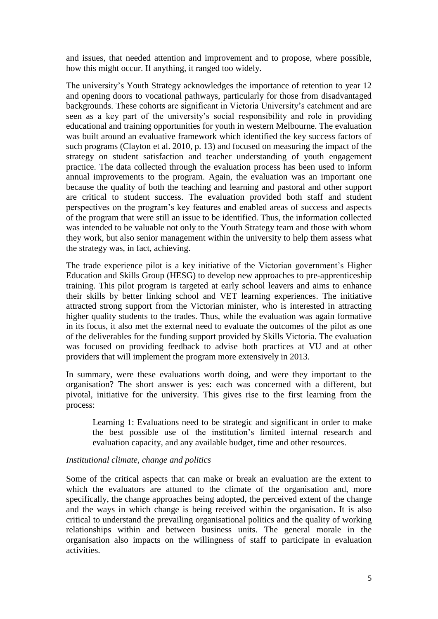and issues, that needed attention and improvement and to propose, where possible, how this might occur. If anything, it ranged too widely.

The university's Youth Strategy acknowledges the importance of retention to year 12 and opening doors to vocational pathways, particularly for those from disadvantaged backgrounds. These cohorts are significant in Victoria University's catchment and are seen as a key part of the university's social responsibility and role in providing educational and training opportunities for youth in western Melbourne. The evaluation was built around an evaluative framework which identified the key success factors of such programs (Clayton et al. 2010, p. 13) and focused on measuring the impact of the strategy on student satisfaction and teacher understanding of youth engagement practice. The data collected through the evaluation process has been used to inform annual improvements to the program. Again, the evaluation was an important one because the quality of both the teaching and learning and pastoral and other support are critical to student success. The evaluation provided both staff and student perspectives on the program's key features and enabled areas of success and aspects of the program that were still an issue to be identified. Thus, the information collected was intended to be valuable not only to the Youth Strategy team and those with whom they work, but also senior management within the university to help them assess what the strategy was, in fact, achieving.

The trade experience pilot is a key initiative of the Victorian government's Higher Education and Skills Group (HESG) to develop new approaches to pre-apprenticeship training. This pilot program is targeted at early school leavers and aims to enhance their skills by better linking school and VET learning experiences. The initiative attracted strong support from the Victorian minister, who is interested in attracting higher quality students to the trades. Thus, while the evaluation was again formative in its focus, it also met the external need to evaluate the outcomes of the pilot as one of the deliverables for the funding support provided by Skills Victoria. The evaluation was focused on providing feedback to advise both practices at VU and at other providers that will implement the program more extensively in 2013.

In summary, were these evaluations worth doing, and were they important to the organisation? The short answer is yes: each was concerned with a different, but pivotal, initiative for the university. This gives rise to the first learning from the process:

Learning 1: Evaluations need to be strategic and significant in order to make the best possible use of the institution's limited internal research and evaluation capacity, and any available budget, time and other resources.

## *Institutional climate, change and politics*

Some of the critical aspects that can make or break an evaluation are the extent to which the evaluators are attuned to the climate of the organisation and, more specifically, the change approaches being adopted, the perceived extent of the change and the ways in which change is being received within the organisation. It is also critical to understand the prevailing organisational politics and the quality of working relationships within and between business units. The general morale in the organisation also impacts on the willingness of staff to participate in evaluation activities.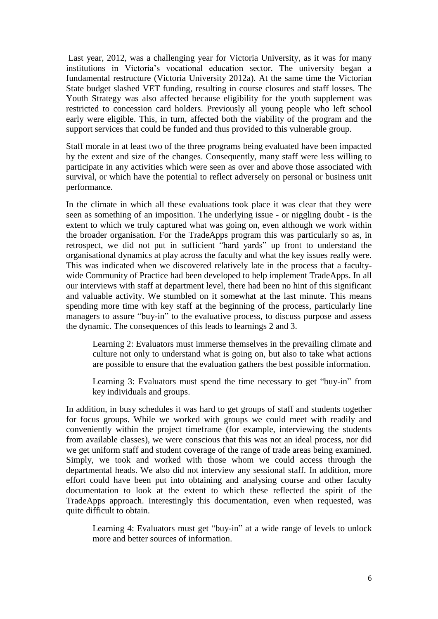Last year, 2012, was a challenging year for Victoria University, as it was for many institutions in Victoria's vocational education sector. The university began a fundamental restructure (Victoria University 2012a). At the same time the Victorian State budget slashed VET funding, resulting in course closures and staff losses. The Youth Strategy was also affected because eligibility for the youth supplement was restricted to concession card holders. Previously all young people who left school early were eligible. This, in turn, affected both the viability of the program and the support services that could be funded and thus provided to this vulnerable group.

Staff morale in at least two of the three programs being evaluated have been impacted by the extent and size of the changes. Consequently, many staff were less willing to participate in any activities which were seen as over and above those associated with survival, or which have the potential to reflect adversely on personal or business unit performance.

In the climate in which all these evaluations took place it was clear that they were seen as something of an imposition. The underlying issue - or niggling doubt - is the extent to which we truly captured what was going on, even although we work within the broader organisation. For the TradeApps program this was particularly so as, in retrospect, we did not put in sufficient "hard yards" up front to understand the organisational dynamics at play across the faculty and what the key issues really were. This was indicated when we discovered relatively late in the process that a facultywide Community of Practice had been developed to help implement TradeApps. In all our interviews with staff at department level, there had been no hint of this significant and valuable activity. We stumbled on it somewhat at the last minute. This means spending more time with key staff at the beginning of the process, particularly line managers to assure "buy-in" to the evaluative process, to discuss purpose and assess the dynamic. The consequences of this leads to learnings 2 and 3.

Learning 2: Evaluators must immerse themselves in the prevailing climate and culture not only to understand what is going on, but also to take what actions are possible to ensure that the evaluation gathers the best possible information.

Learning 3: Evaluators must spend the time necessary to get "buy-in" from key individuals and groups.

In addition, in busy schedules it was hard to get groups of staff and students together for focus groups. While we worked with groups we could meet with readily and conveniently within the project timeframe (for example, interviewing the students from available classes), we were conscious that this was not an ideal process, nor did we get uniform staff and student coverage of the range of trade areas being examined. Simply, we took and worked with those whom we could access through the departmental heads. We also did not interview any sessional staff. In addition, more effort could have been put into obtaining and analysing course and other faculty documentation to look at the extent to which these reflected the spirit of the TradeApps approach. Interestingly this documentation, even when requested, was quite difficult to obtain.

Learning 4: Evaluators must get "buy-in" at a wide range of levels to unlock more and better sources of information.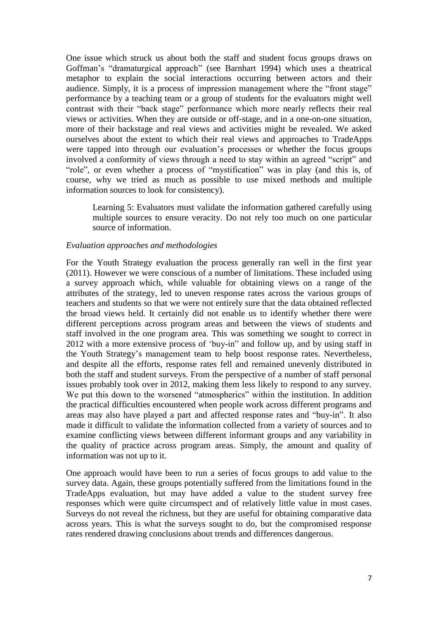One issue which struck us about both the staff and student focus groups draws on Goffman's "dramaturgical approach" (see Barnhart 1994) which uses a theatrical metaphor to explain the social interactions occurring between actors and their audience. Simply, it is a process of impression management where the "front stage" performance by a teaching team or a group of students for the evaluators might well contrast with their "back stage" performance which more nearly reflects their real views or activities. When they are outside or off-stage, and in a one-on-one situation, more of their backstage and real views and activities might be revealed. We asked ourselves about the extent to which their real views and approaches to TradeApps were tapped into through our evaluation's processes or whether the focus groups involved a conformity of views through a need to stay within an agreed "script" and "role", or even whether a process of "mystification" was in play (and this is, of course, why we tried as much as possible to use mixed methods and multiple information sources to look for consistency).

Learning 5: Evaluators must validate the information gathered carefully using multiple sources to ensure veracity. Do not rely too much on one particular source of information.

#### *Evaluation approaches and methodologies*

For the Youth Strategy evaluation the process generally ran well in the first year (2011). However we were conscious of a number of limitations. These included using a survey approach which, while valuable for obtaining views on a range of the attributes of the strategy, led to uneven response rates across the various groups of teachers and students so that we were not entirely sure that the data obtained reflected the broad views held. It certainly did not enable us to identify whether there were different perceptions across program areas and between the views of students and staff involved in the one program area. This was something we sought to correct in 2012 with a more extensive process of 'buy-in" and follow up, and by using staff in the Youth Strategy's management team to help boost response rates. Nevertheless, and despite all the efforts, response rates fell and remained unevenly distributed in both the staff and student surveys. From the perspective of a number of staff personal issues probably took over in 2012, making them less likely to respond to any survey. We put this down to the worsened "atmospherics" within the institution. In addition the practical difficulties encountered when people work across different programs and areas may also have played a part and affected response rates and "buy-in". It also made it difficult to validate the information collected from a variety of sources and to examine conflicting views between different informant groups and any variability in the quality of practice across program areas. Simply, the amount and quality of information was not up to it.

One approach would have been to run a series of focus groups to add value to the survey data. Again, these groups potentially suffered from the limitations found in the TradeApps evaluation, but may have added a value to the student survey free responses which were quite circumspect and of relatively little value in most cases. Surveys do not reveal the richness, but they are useful for obtaining comparative data across years. This is what the surveys sought to do, but the compromised response rates rendered drawing conclusions about trends and differences dangerous.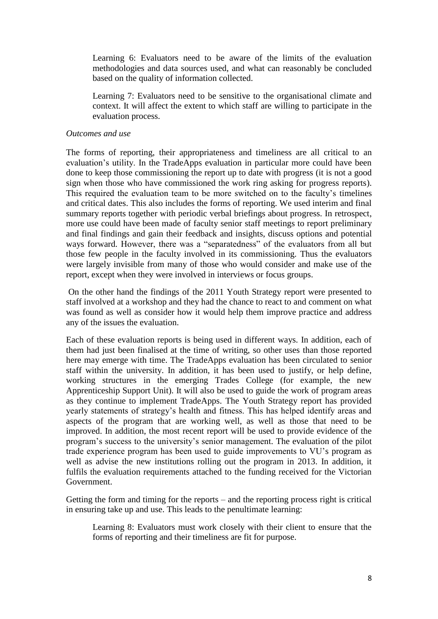Learning 6: Evaluators need to be aware of the limits of the evaluation methodologies and data sources used, and what can reasonably be concluded based on the quality of information collected.

Learning 7: Evaluators need to be sensitive to the organisational climate and context. It will affect the extent to which staff are willing to participate in the evaluation process.

#### *Outcomes and use*

The forms of reporting, their appropriateness and timeliness are all critical to an evaluation's utility. In the TradeApps evaluation in particular more could have been done to keep those commissioning the report up to date with progress (it is not a good sign when those who have commissioned the work ring asking for progress reports). This required the evaluation team to be more switched on to the faculty's timelines and critical dates. This also includes the forms of reporting. We used interim and final summary reports together with periodic verbal briefings about progress. In retrospect, more use could have been made of faculty senior staff meetings to report preliminary and final findings and gain their feedback and insights, discuss options and potential ways forward. However, there was a "separatedness" of the evaluators from all but those few people in the faculty involved in its commissioning. Thus the evaluators were largely invisible from many of those who would consider and make use of the report, except when they were involved in interviews or focus groups.

On the other hand the findings of the 2011 Youth Strategy report were presented to staff involved at a workshop and they had the chance to react to and comment on what was found as well as consider how it would help them improve practice and address any of the issues the evaluation.

Each of these evaluation reports is being used in different ways. In addition, each of them had just been finalised at the time of writing, so other uses than those reported here may emerge with time. The TradeApps evaluation has been circulated to senior staff within the university. In addition, it has been used to justify, or help define, working structures in the emerging Trades College (for example, the new Apprenticeship Support Unit). It will also be used to guide the work of program areas as they continue to implement TradeApps. The Youth Strategy report has provided yearly statements of strategy's health and fitness. This has helped identify areas and aspects of the program that are working well, as well as those that need to be improved. In addition, the most recent report will be used to provide evidence of the program's success to the university's senior management. The evaluation of the pilot trade experience program has been used to guide improvements to VU's program as well as advise the new institutions rolling out the program in 2013. In addition, it fulfils the evaluation requirements attached to the funding received for the Victorian Government.

Getting the form and timing for the reports – and the reporting process right is critical in ensuring take up and use. This leads to the penultimate learning:

Learning 8: Evaluators must work closely with their client to ensure that the forms of reporting and their timeliness are fit for purpose.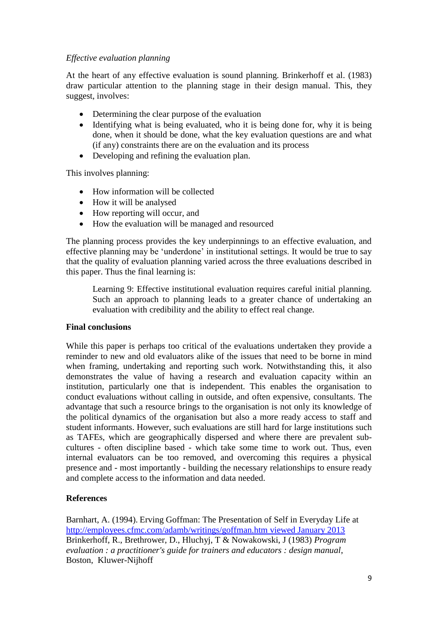# *Effective evaluation planning*

At the heart of any effective evaluation is sound planning. Brinkerhoff et al. (1983) draw particular attention to the planning stage in their design manual. This, they suggest, involves:

- Determining the clear purpose of the evaluation
- Identifying what is being evaluated, who it is being done for, why it is being done, when it should be done, what the key evaluation questions are and what (if any) constraints there are on the evaluation and its process
- Developing and refining the evaluation plan.

This involves planning:

- How information will be collected
- How it will be analysed
- How reporting will occur, and
- How the evaluation will be managed and resourced

The planning process provides the key underpinnings to an effective evaluation, and effective planning may be 'underdone' in institutional settings. It would be true to say that the quality of evaluation planning varied across the three evaluations described in this paper. Thus the final learning is:

Learning 9: Effective institutional evaluation requires careful initial planning. Such an approach to planning leads to a greater chance of undertaking an evaluation with credibility and the ability to effect real change.

## **Final conclusions**

While this paper is perhaps too critical of the evaluations undertaken they provide a reminder to new and old evaluators alike of the issues that need to be borne in mind when framing, undertaking and reporting such work. Notwithstanding this, it also demonstrates the value of having a research and evaluation capacity within an institution, particularly one that is independent. This enables the organisation to conduct evaluations without calling in outside, and often expensive, consultants. The advantage that such a resource brings to the organisation is not only its knowledge of the political dynamics of the organisation but also a more ready access to staff and student informants. However, such evaluations are still hard for large institutions such as TAFEs, which are geographically dispersed and where there are prevalent subcultures - often discipline based - which take some time to work out. Thus, even internal evaluators can be too removed, and overcoming this requires a physical presence and - most importantly - building the necessary relationships to ensure ready and complete access to the information and data needed.

# **References**

Barnhart, A. (1994). Erving Goffman: The Presentation of Self in Everyday Life at [http://employees.cfmc.com/adamb/writings/goffman.htm viewed January 2013](http://employees.cfmc.com/adamb/writings/goffman.htm%20viewed%20January%202013) Brinkerhoff, R., Brethrower, D., Hluchyj, T & Nowakowski, J (1983) *Program evaluation : a practitioner's guide for trainers and educators : design manual*, Boston, Kluwer-Nijhoff